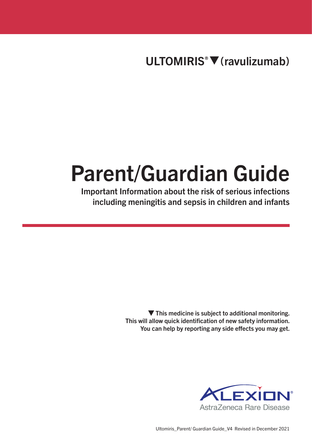ULTOMIRIS<sup>®</sup> ▼ (ravulizumab)

# Parent/Guardian Guide

Important Information about the risk of serious infections including meningitis and sepsis in children and infants

> $\blacktriangledown$  This medicine is subject to additional monitoring. This will allow quick identification of new safety information. You can help by reporting any side effects you may get.



Ultomiris\_Parent/ Guardian Guide\_V4 Revised in December 2021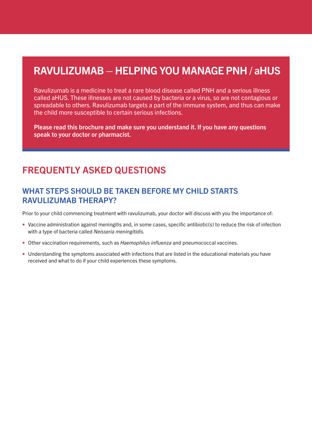# RAVULIZUMAB – HELPING YOU MANAGE PNH / aHUS

Ravulizumab is a medicine to treat a rare blood disease called PNH and a serious illness called aHUS. These illnesses are not caused by bacteria or a virus, so are not contagious or spreadable to others. Ravulizumab targets a part of the immune system, and thus can make the child more susceptible to certain serious infections.

Please read this brochure and make sure you understand it. If you have any questions speak to your doctor or pharmacist.

## FREQUENTLY ASKED QUESTIONS

#### WHAT STEPS SHOULD BE TAKEN BEFORE MY CHILD STARTS RAVULIZUMAB THERAPY?

Prior to your child commencing treatment with ravulizumab, your doctor will discuss with you the importance of:

- Vaccine administration against meningitis and, in some cases, specific antibiotic(s) to reduce the risk of infection with a type of bacteria called *Neisseria meningitidis.*
- Other vaccination requirements, such as *Haemophilus influenza* and pneumococcal vaccines.
- Understanding the symptoms associated with infections that are listed in the educational materials you have received and what to do if your child experiences these symptoms.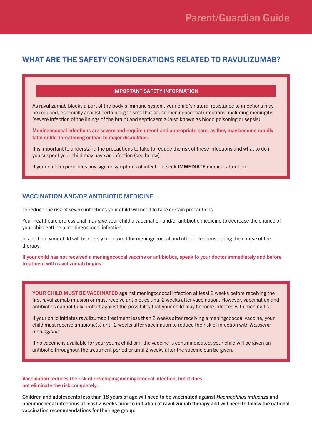#### WHAT ARE THE SAFETY CONSIDERATIONS RELATED TO RAVULIZUMAB?

#### IMPORTANT SAFETY INFORMATION

As ravulizumab blocks a part of the body's immune system, your child's natural resistance to infections may be reduced, especially against certain organisms that cause meningococcal infections, including meningitis (severe infection of the linings of the brain) and septicaemia (also known as blood poisoning or sepsis).

Meningococcal infections are severe and require urgent and appropriate care, as they may become rapidly fatal or life-threatening or lead to major disabilities.

It is important to understand the precautions to take to reduce the risk of these infections and what to do if you suspect your child may have an infection (see below).

If your child experiences any sign or symptoms of infection, seek IMMEDIATE medical attention.

#### VACCINATION AND/OR ANTIBIOTIC MEDICINE

To reduce the risk of severe infections your child will need to take certain precautions.

Your healthcare professional may give your child a vaccination and/or antibiotic medicine to decrease the chance of your child getting a meningococcal infection.

In addition, your child will be closely monitored for meningococcal and other infections during the course of the therapy.

If your child has not received a meningococcal vaccine or antibiotics, speak to your doctor immediately and before treatment with ravulizumab begins.

YOUR CHILD MUST BE VACCINATED against meningococcal infection at least 2 weeks before receiving the first ravulizumab infusion or must receive antibiotics until 2 weeks after vaccination. However, vaccination and antibiotics cannot fully protect against the possibility that your child may become infected with meningitis.

If your child initiates ravulizumab treatment less than 2 weeks after receiving a meningococcal vaccine, your child must receive antibiotic(s) until 2 weeks after vaccination to reduce the risk of infection with *Neisseria meningitidis*.

If no vaccine is available for your young child or if the vaccine is contraindicated, your child will be given an antibiotic throughout the treatment period or until 2 weeks after the vaccine can be given.

Vaccination reduces the risk of developing meningococcal infection, but it does not eliminate the risk completely.

Children and adolescents less than 18 years of age will need to be vaccinated against *Haemophilus influenza* and pneumococcal infections at least 2 weeks prior to initiation of ravulizumab therapy and will need to follow the national vaccination recommendations for their age group.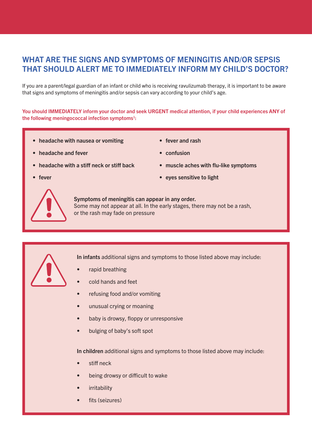## WHAT ARE THE SIGNS AND SYMPTOMS OF MENINGITIS AND/OR SEPSIS THAT SHOULD ALERT ME TO IMMEDIATELY INFORM MY CHILD'S DOCTOR?

If you are a parent/legal guardian of an infant or child who is receiving ravulizumab therapy, it is important to be aware that signs and symptoms of meningitis and/or sepsis can vary according to your child's age.

You should IMMEDIATELY inform your doctor and seek URGENT medical attention, if your child experiences ANY of the following meningococcal infection symptoms $1$ :

- headache with nausea or vomiting
- headache and fever

• confusion

• fever and rash

- headache with a stiff neck or stiff back
- fever
- muscle aches with flu-like symptoms
- eyes sensitive to light



Symptoms of meningitis can appear in any order. Some may not appear at all. In the early stages, there may not be a rash, or the rash may fade on pressure



In infants additional signs and symptoms to those listed above may include:

- rapid breathing
- cold hands and feet
- refusing food and/or vomiting
- unusual crying or moaning
- baby is drowsy, floppy or unresponsive
- bulging of baby's soft spot

In children additional signs and symptoms to those listed above may include:

- stiff neck
- being drowsy or difficult to wake
- **irritability**
- fits (seizures)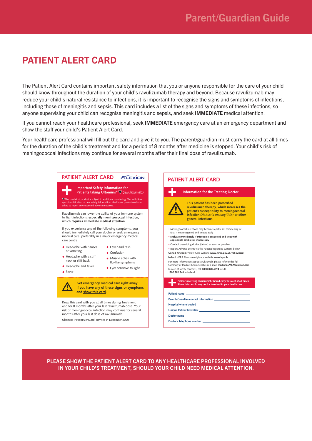# PATIENT ALERT CARD

The Patient Alert Card contains important safety information that you or anyone responsible for the care of your child should know throughout the duration of your child's ravulizumab therapy and beyond. Because ravulizumab may reduce your child's natural resistance to infections, it is important to recognise the signs and symptoms of infections, including those of meningitis and sepsis. This card includes a list of the signs and symptoms of these infections, so anyone supervising your child can recognise meningitis and sepsis, and seek IMMEDIATE medical attention.

If you cannot reach your healthcare professional, seek IMMEDIATE emergency care at an emergency department and show the staff your child's Patient Alert Card.

Your healthcare professional will fill out the card and give it to you. The parent/guardian must carry the card at all times for the duration of the child's treatment and for a period of 8 months after medicine is stopped. Your child's risk of meningococcal infections may continue for several months after their final dose of ravulizumab.

| <b>PATIENT ALERT CARD</b><br><b>ALEXION</b>                                                                                                                                                                                                                                                                                                                                                                                                     | <b>PATIENT ALERT CARD</b>                                                                                                                                                                                                                                                                                                                                                                                                                                                                                                                                                                                                                                                                                           |
|-------------------------------------------------------------------------------------------------------------------------------------------------------------------------------------------------------------------------------------------------------------------------------------------------------------------------------------------------------------------------------------------------------------------------------------------------|---------------------------------------------------------------------------------------------------------------------------------------------------------------------------------------------------------------------------------------------------------------------------------------------------------------------------------------------------------------------------------------------------------------------------------------------------------------------------------------------------------------------------------------------------------------------------------------------------------------------------------------------------------------------------------------------------------------------|
| <b>Important Safety Information for</b><br>Patients taking Ultomiris <sup>®</sup> $\nabla$ (ravulizumab)                                                                                                                                                                                                                                                                                                                                        | Information for the Treating Doctor                                                                                                                                                                                                                                                                                                                                                                                                                                                                                                                                                                                                                                                                                 |
| $\nabla$ This medicinal product is subject to additional monitoring. This will allow<br>quick identification of new safety information. Healthcare professionals are<br>asked to report any suspected adverse reactions.                                                                                                                                                                                                                        | This patient has been prescribed<br>ravulizumab therapy, which increases the                                                                                                                                                                                                                                                                                                                                                                                                                                                                                                                                                                                                                                        |
| Ravulizumab can lower the ability of your immune system<br>to fight infections, especially meningococcal infection,<br>which requires immediate medical attention.                                                                                                                                                                                                                                                                              | patient's susceptibility to meningococcal<br>infection (Neisseria meningitidis) or other<br>general infections.                                                                                                                                                                                                                                                                                                                                                                                                                                                                                                                                                                                                     |
| If you experience any of the following symptoms, you<br>should immediately call your doctor or seek emergency<br>medical care, preferably in a major emergency medical<br>care centre:<br>• Headache with nausea<br>• Fever and rash<br>or vomiting<br>$\bullet$ Confusion<br>$\bullet$ Headache with a stiff<br>• Muscle aches with<br>neck or stiff back<br>flu-like symptoms<br>• Headache and fever<br>• Eyes sensitive to light<br>• Fever | • Meningococcal infections may become rapidly life-threatening or<br>fatal if not recognised and treated early<br>. Evaluate immediately if infection is suspected and treat with<br>appropriate antibiotics if necessary<br>• Contact prescribing doctor (below) as soon as possible<br>. Report Adverse Events via the national reporting systems below:<br>United Kingdom Yellow Card website www.mhra.gov.uk/yellowcard<br>Ireland HPRA Pharmacovigilance website www.hpra.ie<br>For more information about ravulizumab, please refer to the full<br>Summary of Product Characteristics or e-mail: medinfo.EMEA@alexion.com<br>In case of safety concerns, call 0800 028 4394 in UK,<br>1800 882 840 in Ireland |
| Get emergency medical care right away<br>if you have any of these signs or symptoms<br>and show this card.                                                                                                                                                                                                                                                                                                                                      | Patients receiving ravulizumab should carry this card at all times.<br>Show this card to any doctor involved in your health care.<br>Patient name                                                                                                                                                                                                                                                                                                                                                                                                                                                                                                                                                                   |
| Keep this card with you at all times during treatment<br>and for 8 months after your last ravulizumab dose. Your<br>risk of meningococcal infection may continue for several<br>months after your last dose of ravulizumab.<br>Ultomiris PatientAlertCard; Revised in December 2020                                                                                                                                                             | Hospital where treated <b>All According to the Contract of According to the Contract of According to the Contract of According to the Contract of According to the Contract of According to the Contract of According to the Con</b>                                                                                                                                                                                                                                                                                                                                                                                                                                                                                |

PLEASE SHOW THE PATIENT ALERT CARD TO ANY HEALTHCARE PROFESSIONAL INVOLVED IN YOUR CHILD'S TREATMENT, SHOULD YOUR CHILD NEED MEDICAL ATTENTION.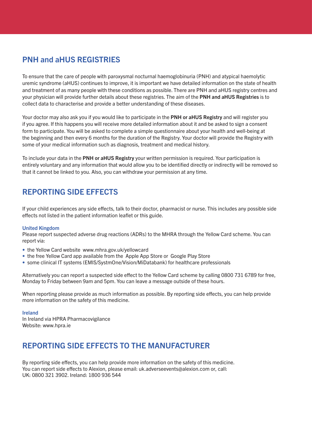## PNH and aHUS REGISTRIES

To ensure that the care of people with paroxysmal nocturnal haemoglobinuria (PNH) and atypical haemolytic uremic syndrome (aHUS) continues to improve, it is important we have detailed information on the state of health and treatment of as many people with these conditions as possible. There are PNH and aHUS registry centres and your physician will provide further details about these registries. The aim of the PNH and aHUS Registries is to collect data to characterise and provide a better understanding of these diseases.

Your doctor may also ask you if you would like to participate in the PNH or aHUS Registry and will register you if you agree. If this happens you will receive more detailed information about it and be asked to sign a consent form to participate. You will be asked to complete a simple questionnaire about your health and well-being at the beginning and then every 6 months for the duration of the Registry. Your doctor will provide the Registry with some of your medical information such as diagnosis, treatment and medical history.

To include your data in the PNH or aHUS Registry your written permission is required. Your participation is entirely voluntary and any information that would allow you to be identified directly or indirectly will be removed so that it cannot be linked to you. Also, you can withdraw your permission at any time.

## REPORTING SIDE EFFECTS

If your child experiences any side effects, talk to their doctor, pharmacist or nurse. This includes any possible side effects not listed in the patient information leaflet or this guide.

#### United Kingdom

Please report suspected adverse drug reactions (ADRs) to the MHRA through the Yellow Card scheme. You can report via:

- the Yellow Card website www.mhra.gov.uk/yellowcard
- the free Yellow Card app available from the Apple App Store or Google Play Store
- some clinical IT systems (EMIS/SystmOne/Vision/MiDatabank) for healthcare professionals

Alternatively you can report a suspected side effect to the Yellow Card scheme by calling 0800 731 6789 for free, Monday to Friday between 9am and 5pm. You can leave a message outside of these hours.

When reporting please provide as much information as possible. By reporting side effects, you can help provide more information on the safety of this medicine.

#### Ireland

In Ireland via HPRA Pharmacovigilance Website: www.hpra.ie

#### REPORTING SIDE EFFECTS TO THE MANUFACTURER

By reporting side effects, you can help provide more information on the safety of this medicine. You can report side effects to Alexion, please email: uk.adverseevents@alexion.com or, call: UK: 0800 321 3902. Ireland: 1800 936 544